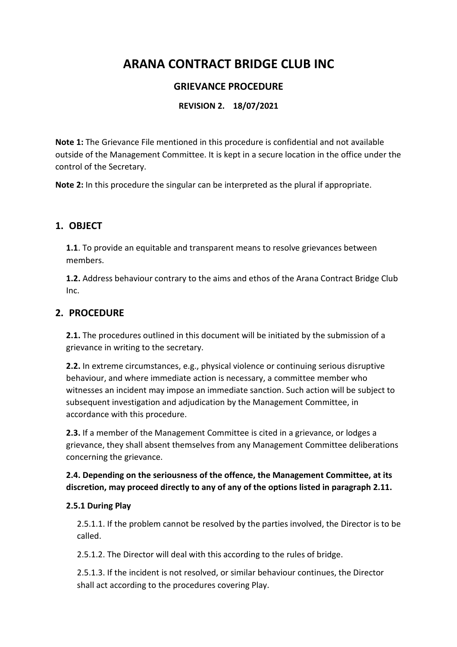# **ARANA CONTRACT BRIDGE CLUB INC**

# **GRIEVANCE PROCEDURE**

## **REVISION 2. 18/07/2021**

**Note 1:** The Grievance File mentioned in this procedure is confidential and not available outside of the Management Committee. It is kept in a secure location in the office under the control of the Secretary.

**Note 2:** In this procedure the singular can be interpreted as the plural if appropriate.

## **1. OBJECT**

**1.1**. To provide an equitable and transparent means to resolve grievances between members.

**1.2.** Address behaviour contrary to the aims and ethos of the Arana Contract Bridge Club Inc.

## **2. PROCEDURE**

**2.1.** The procedures outlined in this document will be initiated by the submission of a grievance in writing to the secretary.

**2.2.** In extreme circumstances, e.g., physical violence or continuing serious disruptive behaviour, and where immediate action is necessary, a committee member who witnesses an incident may impose an immediate sanction. Such action will be subject to subsequent investigation and adjudication by the Management Committee, in accordance with this procedure.

**2.3.** If a member of the Management Committee is cited in a grievance, or lodges a grievance, they shall absent themselves from any Management Committee deliberations concerning the grievance.

## **2.4. Depending on the seriousness of the offence, the Management Committee, at its discretion, may proceed directly to any of any of the options listed in paragraph 2.11.**

#### **2.5.1 During Play**

2.5.1.1. If the problem cannot be resolved by the parties involved, the Director is to be called.

2.5.1.2. The Director will deal with this according to the rules of bridge.

2.5.1.3. If the incident is not resolved, or similar behaviour continues, the Director shall act according to the procedures covering Play.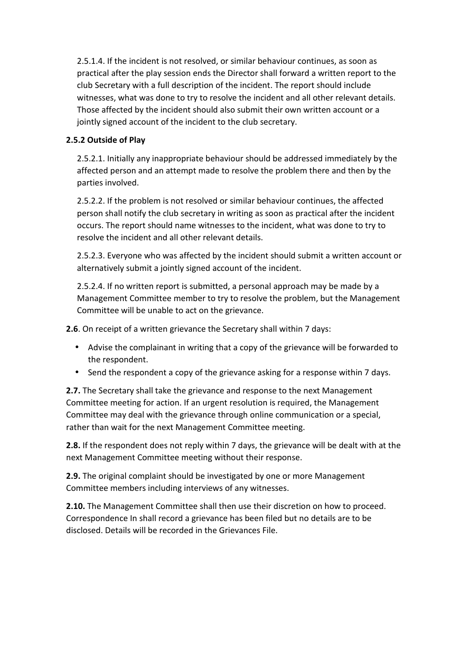2.5.1.4. If the incident is not resolved, or similar behaviour continues, as soon as practical after the play session ends the Director shall forward a written report to the club Secretary with a full description of the incident. The report should include witnesses, what was done to try to resolve the incident and all other relevant details. Those affected by the incident should also submit their own written account or a jointly signed account of the incident to the club secretary.

#### **2.5.2 Outside of Play**

2.5.2.1. Initially any inappropriate behaviour should be addressed immediately by the affected person and an attempt made to resolve the problem there and then by the parties involved.

2.5.2.2. If the problem is not resolved or similar behaviour continues, the affected person shall notify the club secretary in writing as soon as practical after the incident occurs. The report should name witnesses to the incident, what was done to try to resolve the incident and all other relevant details.

2.5.2.3. Everyone who was affected by the incident should submit a written account or alternatively submit a jointly signed account of the incident.

2.5.2.4. If no written report is submitted, a personal approach may be made by a Management Committee member to try to resolve the problem, but the Management Committee will be unable to act on the grievance.

**2.6**. On receipt of a written grievance the Secretary shall within 7 days:

- Advise the complainant in writing that a copy of the grievance will be forwarded to the respondent.
- Send the respondent a copy of the grievance asking for a response within 7 days.

**2.7.** The Secretary shall take the grievance and response to the next Management Committee meeting for action. If an urgent resolution is required, the Management Committee may deal with the grievance through online communication or a special, rather than wait for the next Management Committee meeting.

**2.8.** If the respondent does not reply within 7 days, the grievance will be dealt with at the next Management Committee meeting without their response.

**2.9.** The original complaint should be investigated by one or more Management Committee members including interviews of any witnesses.

**2.10.** The Management Committee shall then use their discretion on how to proceed. Correspondence In shall record a grievance has been filed but no details are to be disclosed. Details will be recorded in the Grievances File.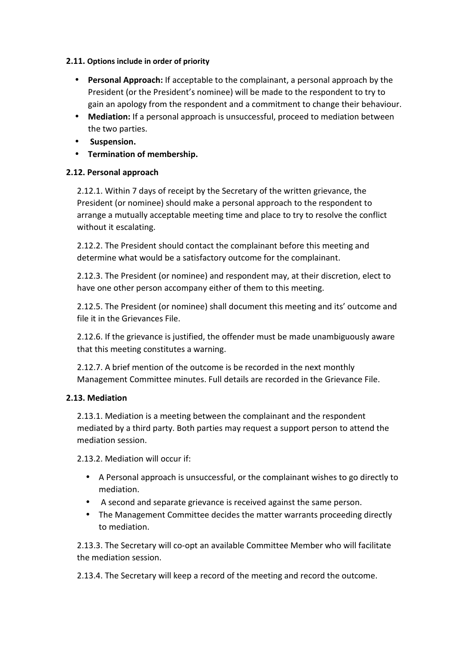#### **2.11. Options include in order of priority**

- **Personal Approach:** If acceptable to the complainant, a personal approach by the President (or the President's nominee) will be made to the respondent to try to gain an apology from the respondent and a commitment to change their behaviour.
- **Mediation:** If a personal approach is unsuccessful, proceed to mediation between the two parties.
- **Suspension.**
- **Termination of membership.**

#### **2.12. Personal approach**

2.12.1. Within 7 days of receipt by the Secretary of the written grievance, the President (or nominee) should make a personal approach to the respondent to arrange a mutually acceptable meeting time and place to try to resolve the conflict without it escalating.

2.12.2. The President should contact the complainant before this meeting and determine what would be a satisfactory outcome for the complainant.

2.12.3. The President (or nominee) and respondent may, at their discretion, elect to have one other person accompany either of them to this meeting.

2.12.5. The President (or nominee) shall document this meeting and its' outcome and file it in the Grievances File.

2.12.6. If the grievance is justified, the offender must be made unambiguously aware that this meeting constitutes a warning.

2.12.7. A brief mention of the outcome is be recorded in the next monthly Management Committee minutes. Full details are recorded in the Grievance File.

## **2.13. Mediation**

2.13.1. Mediation is a meeting between the complainant and the respondent mediated by a third party. Both parties may request a support person to attend the mediation session.

2.13.2. Mediation will occur if:

- A Personal approach is unsuccessful, or the complainant wishes to go directly to mediation.
- A second and separate grievance is received against the same person.
- The Management Committee decides the matter warrants proceeding directly to mediation.

2.13.3. The Secretary will co-opt an available Committee Member who will facilitate the mediation session.

2.13.4. The Secretary will keep a record of the meeting and record the outcome.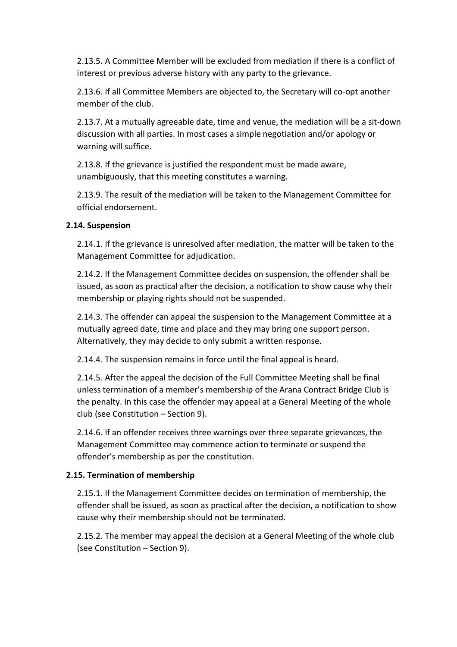2.13.5. A Committee Member will be excluded from mediation if there is a conflict of interest or previous adverse history with any party to the grievance.

2.13.6. If all Committee Members are objected to, the Secretary will co-opt another member of the club.

2.13.7. At a mutually agreeable date, time and venue, the mediation will be a sit-down discussion with all parties. In most cases a simple negotiation and/or apology or warning will suffice.

2.13.8. If the grievance is justified the respondent must be made aware, unambiguously, that this meeting constitutes a warning.

2.13.9. The result of the mediation will be taken to the Management Committee for official endorsement.

#### **2.14. Suspension**

2.14.1. If the grievance is unresolved after mediation, the matter will be taken to the Management Committee for adjudication.

2.14.2. If the Management Committee decides on suspension, the offender shall be issued, as soon as practical after the decision, a notification to show cause why their membership or playing rights should not be suspended.

2.14.3. The offender can appeal the suspension to the Management Committee at a mutually agreed date, time and place and they may bring one support person. Alternatively, they may decide to only submit a written response.

2.14.4. The suspension remains in force until the final appeal is heard.

2.14.5. After the appeal the decision of the Full Committee Meeting shall be final unless termination of a member's membership of the Arana Contract Bridge Club is the penalty. In this case the offender may appeal at a General Meeting of the whole club (see Constitution – Section 9).

2.14.6. If an offender receives three warnings over three separate grievances, the Management Committee may commence action to terminate or suspend the offender's membership as per the constitution.

## **2.15. Termination of membership**

2.15.1. If the Management Committee decides on termination of membership, the offender shall be issued, as soon as practical after the decision, a notification to show cause why their membership should not be terminated.

2.15.2. The member may appeal the decision at a General Meeting of the whole club (see Constitution – Section 9).